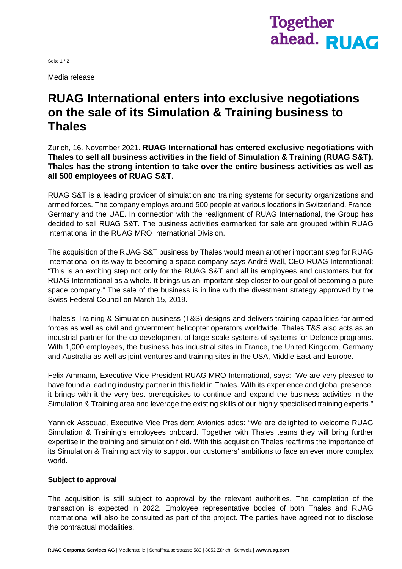

Seite 1 / 2

Media release

# **RUAG International enters into exclusive negotiations on the sale of its Simulation & Training business to Thales**

Zurich, 16. November 2021. **RUAG International has entered exclusive negotiations with Thales to sell all business activities in the field of Simulation & Training (RUAG S&T). Thales has the strong intention to take over the entire business activities as well as all 500 employees of RUAG S&T.**

RUAG S&T is a leading provider of simulation and training systems for security organizations and armed forces. The company employs around 500 people at various locations in Switzerland, France, Germany and the UAE. In connection with the realignment of RUAG International, the Group has decided to sell RUAG S&T. The business activities earmarked for sale are grouped within RUAG International in the RUAG MRO International Division.

The acquisition of the RUAG S&T business by Thales would mean another important step for RUAG International on its way to becoming a space company says André Wall, CEO RUAG International: "This is an exciting step not only for the RUAG S&T and all its employees and customers but for RUAG International as a whole. It brings us an important step closer to our goal of becoming a pure space company." The sale of the business is in line with the divestment strategy approved by the Swiss Federal Council on March 15, 2019.

Thales's Training & Simulation business (T&S) designs and delivers training capabilities for armed forces as well as civil and government helicopter operators worldwide. Thales T&S also acts as an industrial partner for the co-development of large-scale systems of systems for Defence programs. With 1,000 employees, the business has industrial sites in France, the United Kingdom, Germany and Australia as well as joint ventures and training sites in the USA, Middle East and Europe.

Felix Ammann, Executive Vice President RUAG MRO International, says: "We are very pleased to have found a leading industry partner in this field in Thales. With its experience and global presence, it brings with it the very best prerequisites to continue and expand the business activities in the Simulation & Training area and leverage the existing skills of our highly specialised training experts."

Yannick Assouad, Executive Vice President Avionics adds: "We are delighted to welcome RUAG Simulation & Training's employees onboard. Together with Thales teams they will bring further expertise in the training and simulation field. With this acquisition Thales reaffirms the importance of its Simulation & Training activity to support our customers' ambitions to face an ever more complex world.

### **Subject to approval**

The acquisition is still subject to approval by the relevant authorities. The completion of the transaction is expected in 2022. Employee representative bodies of both Thales and RUAG International will also be consulted as part of the project. The parties have agreed not to disclose the contractual modalities.